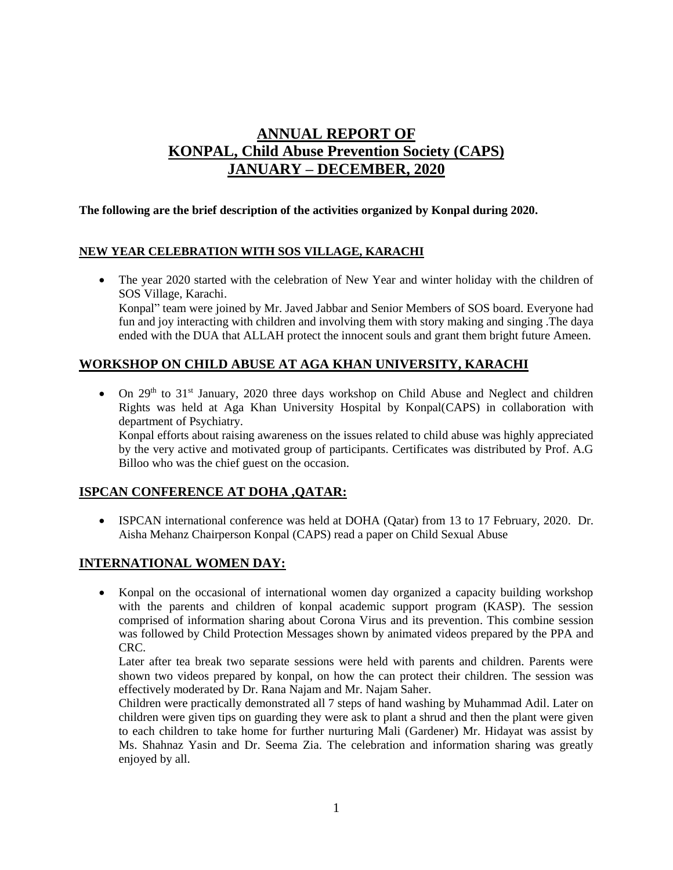# **ANNUAL REPORT OF KONPAL, Child Abuse Prevention Society (CAPS) JANUARY – DECEMBER, 2020**

#### **The following are the brief description of the activities organized by Konpal during 2020.**

#### **NEW YEAR CELEBRATION WITH SOS VILLAGE, KARACHI**

• The year 2020 started with the celebration of New Year and winter holiday with the children of SOS Village, Karachi. Konpal" team were joined by Mr. Javed Jabbar and Senior Members of SOS board. Everyone had fun and joy interacting with children and involving them with story making and singing .The daya ended with the DUA that ALLAH protect the innocent souls and grant them bright future Ameen.

## **WORKSHOP ON CHILD ABUSE AT AGA KHAN UNIVERSITY, KARACHI**

 $\bullet$  On 29<sup>th</sup> to 31<sup>st</sup> January, 2020 three days workshop on Child Abuse and Neglect and children Rights was held at Aga Khan University Hospital by Konpal(CAPS) in collaboration with department of Psychiatry.

Konpal efforts about raising awareness on the issues related to child abuse was highly appreciated by the very active and motivated group of participants. Certificates was distributed by Prof. A.G Billoo who was the chief guest on the occasion.

#### **ISPCAN CONFERENCE AT DOHA ,QATAR:**

 ISPCAN international conference was held at DOHA (Qatar) from 13 to 17 February, 2020. Dr. Aisha Mehanz Chairperson Konpal (CAPS) read a paper on Child Sexual Abuse

#### **INTERNATIONAL WOMEN DAY:**

 Konpal on the occasional of international women day organized a capacity building workshop with the parents and children of konpal academic support program (KASP). The session comprised of information sharing about Corona Virus and its prevention. This combine session was followed by Child Protection Messages shown by animated videos prepared by the PPA and CRC.

Later after tea break two separate sessions were held with parents and children. Parents were shown two videos prepared by konpal, on how the can protect their children. The session was effectively moderated by Dr. Rana Najam and Mr. Najam Saher.

Children were practically demonstrated all 7 steps of hand washing by Muhammad Adil. Later on children were given tips on guarding they were ask to plant a shrud and then the plant were given to each children to take home for further nurturing Mali (Gardener) Mr. Hidayat was assist by Ms. Shahnaz Yasin and Dr. Seema Zia. The celebration and information sharing was greatly enjoyed by all.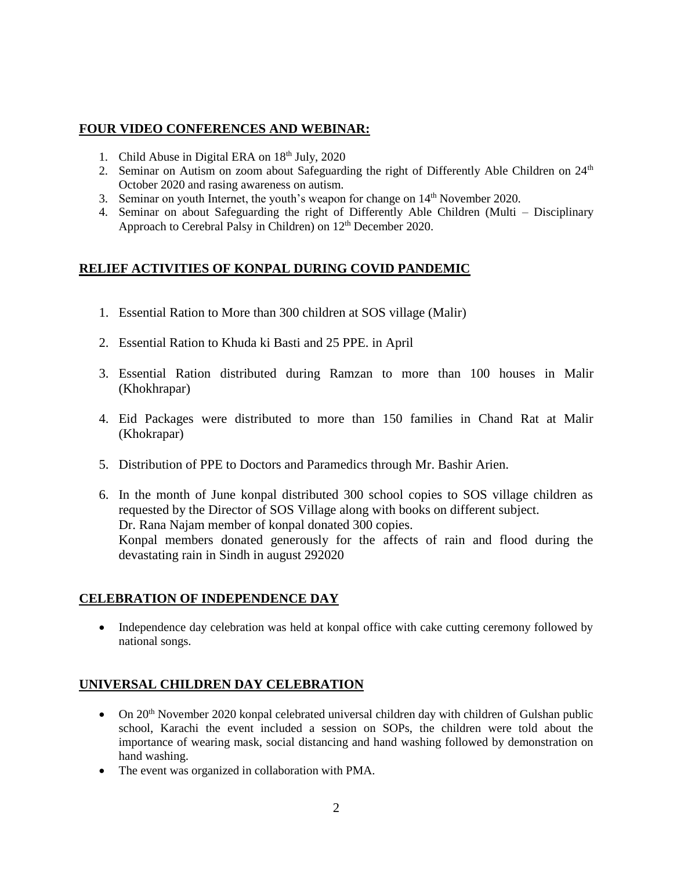### **FOUR VIDEO CONFERENCES AND WEBINAR:**

- 1. Child Abuse in Digital ERA on  $18<sup>th</sup>$  July, 2020
- 2. Seminar on Autism on zoom about Safeguarding the right of Differently Able Children on 24<sup>th</sup> October 2020 and rasing awareness on autism.
- 3. Seminar on youth Internet, the youth's weapon for change on 14<sup>th</sup> November 2020.
- 4. Seminar on about Safeguarding the right of Differently Able Children (Multi Disciplinary Approach to Cerebral Palsy in Children) on 12<sup>th</sup> December 2020.

### **RELIEF ACTIVITIES OF KONPAL DURING COVID PANDEMIC**

- 1. Essential Ration to More than 300 children at SOS village (Malir)
- 2. Essential Ration to Khuda ki Basti and 25 PPE. in April
- 3. Essential Ration distributed during Ramzan to more than 100 houses in Malir (Khokhrapar)
- 4. Eid Packages were distributed to more than 150 families in Chand Rat at Malir (Khokrapar)
- 5. Distribution of PPE to Doctors and Paramedics through Mr. Bashir Arien.
- 6. In the month of June konpal distributed 300 school copies to SOS village children as requested by the Director of SOS Village along with books on different subject. Dr. Rana Najam member of konpal donated 300 copies. Konpal members donated generously for the affects of rain and flood during the devastating rain in Sindh in august 292020

#### **CELEBRATION OF INDEPENDENCE DAY**

• Independence day celebration was held at konpal office with cake cutting ceremony followed by national songs.

## **UNIVERSAL CHILDREN DAY CELEBRATION**

- $\bullet$  On 20<sup>th</sup> November 2020 konpal celebrated universal children day with children of Gulshan public school, Karachi the event included a session on SOPs, the children were told about the importance of wearing mask, social distancing and hand washing followed by demonstration on hand washing.
- The event was organized in collaboration with PMA.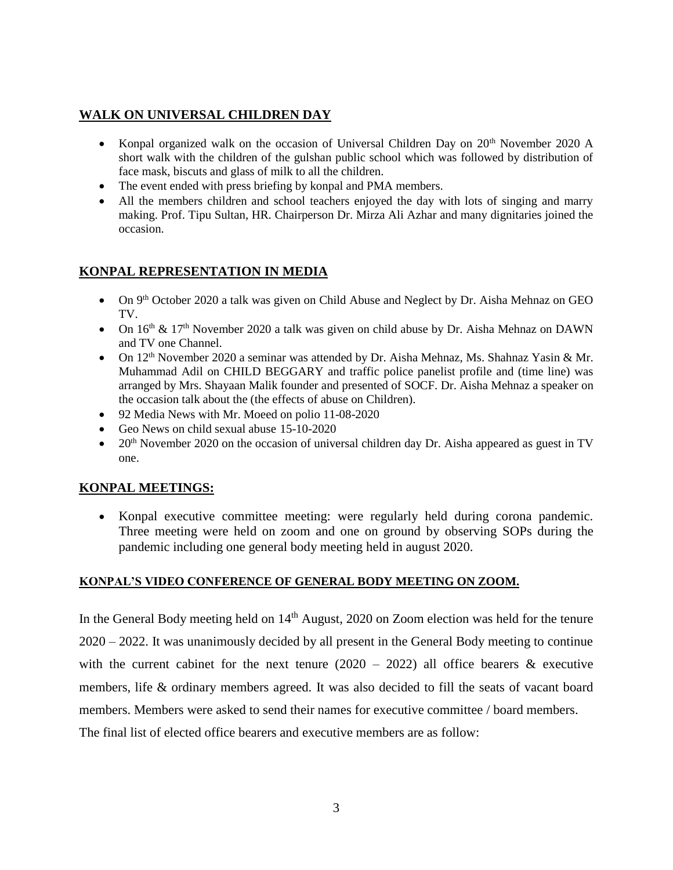## **WALK ON UNIVERSAL CHILDREN DAY**

- Konpal organized walk on the occasion of Universal Children Day on  $20^{th}$  November 2020 A short walk with the children of the gulshan public school which was followed by distribution of face mask, biscuts and glass of milk to all the children.
- The event ended with press briefing by konpal and PMA members.
- All the members children and school teachers enjoyed the day with lots of singing and marry making. Prof. Tipu Sultan, HR. Chairperson Dr. Mirza Ali Azhar and many dignitaries joined the occasion.

## **KONPAL REPRESENTATION IN MEDIA**

- On 9<sup>th</sup> October 2020 a talk was given on Child Abuse and Neglect by Dr. Aisha Mehnaz on GEO TV.
- On  $16<sup>th</sup>$  &  $17<sup>th</sup>$  November 2020 a talk was given on child abuse by Dr. Aisha Mehnaz on DAWN and TV one Channel.
- On  $12<sup>th</sup>$  November 2020 a seminar was attended by Dr. Aisha Mehnaz, Ms. Shahnaz Yasin & Mr. Muhammad Adil on CHILD BEGGARY and traffic police panelist profile and (time line) was arranged by Mrs. Shayaan Malik founder and presented of SOCF. Dr. Aisha Mehnaz a speaker on the occasion talk about the (the effects of abuse on Children).
- 92 Media News with Mr. Moeed on polio 11-08-2020
- Geo News on child sexual abuse 15-10-2020
- $\bullet$  20<sup>th</sup> November 2020 on the occasion of universal children day Dr. Aisha appeared as guest in TV one.

## **KONPAL MEETINGS:**

 Konpal executive committee meeting: were regularly held during corona pandemic. Three meeting were held on zoom and one on ground by observing SOPs during the pandemic including one general body meeting held in august 2020.

#### **KONPAL'S VIDEO CONFERENCE OF GENERAL BODY MEETING ON ZOOM.**

In the General Body meeting held on  $14<sup>th</sup>$  August, 2020 on Zoom election was held for the tenure 2020 – 2022. It was unanimously decided by all present in the General Body meeting to continue with the current cabinet for the next tenure  $(2020 - 2022)$  all office bearers & executive members, life & ordinary members agreed. It was also decided to fill the seats of vacant board members. Members were asked to send their names for executive committee / board members.

The final list of elected office bearers and executive members are as follow: